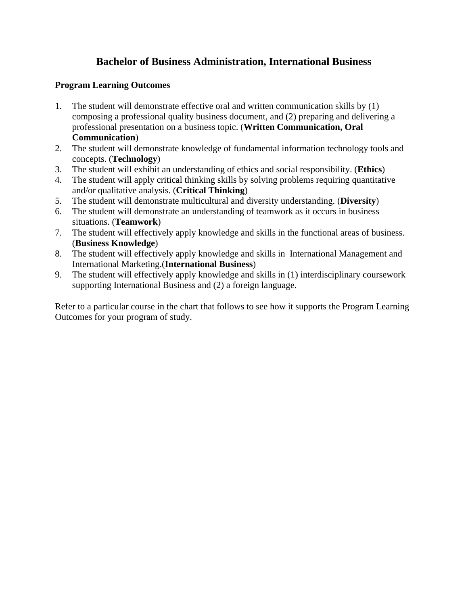## **Bachelor of Business Administration, International Business**

## **Program Learning Outcomes**

- 1. The student will demonstrate effective oral and written communication skills by (1) composing a professional quality business document, and (2) preparing and delivering a professional presentation on a business topic. (**Written Communication, Oral Communication**)
- 2. The student will demonstrate knowledge of fundamental information technology tools and concepts. (**Technology**)
- 3. The student will exhibit an understanding of ethics and social responsibility. (**Ethics**)
- 4. The student will apply critical thinking skills by solving problems requiring quantitative and/or qualitative analysis. (**Critical Thinking**)
- 5. The student will demonstrate multicultural and diversity understanding. (**Diversity**)
- 6. The student will demonstrate an understanding of teamwork as it occurs in business situations. (**Teamwork**)
- 7. The student will effectively apply knowledge and skills in the functional areas of business. (**Business Knowledge**)
- 8. The student will effectively apply knowledge and skills in International Management and International Marketing.(**International Business**)
- 9. The student will effectively apply knowledge and skills in (1) interdisciplinary coursework supporting International Business and (2) a foreign language.

Refer to a particular course in the chart that follows to see how it supports the Program Learning Outcomes for your program of study.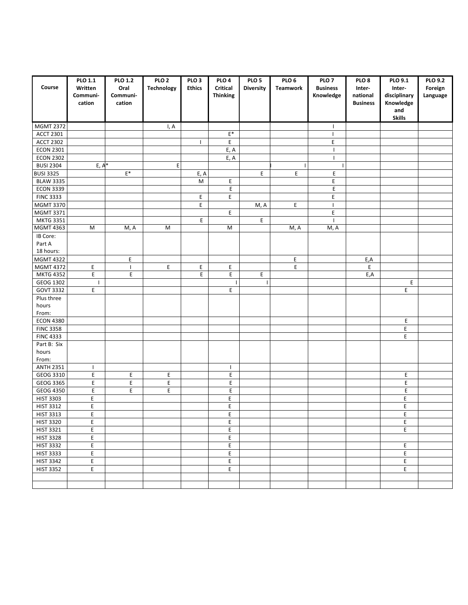| Course                        | <b>PLO 1.1</b><br>Written     | <b>PLO 1.2</b><br>Oral | PLO <sub>2</sub><br><b>Technology</b> | PLO <sub>3</sub><br><b>Ethics</b> | PLO <sub>4</sub><br>Critical | PLO <sub>5</sub><br><b>Diversity</b> | PLO <sub>6</sub><br><b>Teamwork</b> | PLO <sub>7</sub><br><b>Business</b> | PLO <sub>8</sub><br>Inter-  | PLO 9.1<br>Inter-         | <b>PLO 9.2</b><br>Foreign |
|-------------------------------|-------------------------------|------------------------|---------------------------------------|-----------------------------------|------------------------------|--------------------------------------|-------------------------------------|-------------------------------------|-----------------------------|---------------------------|---------------------------|
|                               | Communi-<br>cation            | Communi-<br>cation     |                                       |                                   | <b>Thinking</b>              |                                      |                                     | Knowledge                           | national<br><b>Business</b> | disciplinary<br>Knowledge | Language                  |
|                               |                               |                        |                                       |                                   |                              |                                      |                                     |                                     |                             | and                       |                           |
|                               |                               |                        |                                       |                                   |                              |                                      |                                     |                                     |                             | <b>Skills</b>             |                           |
| <b>MGMT 2372</b>              |                               |                        | I, A                                  |                                   |                              |                                      |                                     | $\mathbf{I}$                        |                             |                           |                           |
| <b>ACCT 2301</b>              |                               |                        |                                       |                                   | $\mathsf{E}^*$               |                                      |                                     | $\mathbf{I}$                        |                             |                           |                           |
| <b>ACCT 2302</b>              |                               |                        |                                       | L                                 | E                            |                                      |                                     | E                                   |                             |                           |                           |
| <b>ECON 2301</b>              |                               |                        |                                       |                                   | E, A                         |                                      |                                     | -1                                  |                             |                           |                           |
| <b>ECON 2302</b>              |                               |                        |                                       |                                   | E, A                         |                                      |                                     | $\overline{1}$                      |                             |                           |                           |
| <b>BUSI 2304</b>              | $E, A^*$                      |                        | E                                     |                                   |                              |                                      |                                     |                                     |                             |                           |                           |
| <b>BUSI 3325</b>              |                               | $\mathsf{E}^*$         |                                       | E, A                              |                              | E                                    | E                                   | Ε                                   |                             |                           |                           |
| <b>BLAW 3335</b>              |                               |                        |                                       | M                                 | E                            |                                      |                                     | E                                   |                             |                           |                           |
| <b>ECON 3339</b>              |                               |                        |                                       |                                   | E                            |                                      |                                     | E                                   |                             |                           |                           |
| <b>FINC 3333</b>              |                               |                        |                                       | E.                                | E                            |                                      |                                     | E                                   |                             |                           |                           |
| <b>MGMT 3370</b>              |                               |                        |                                       | E                                 |                              | M, A                                 | E                                   | $\overline{\phantom{a}}$            |                             |                           |                           |
| <b>MGMT 3371</b>              |                               |                        |                                       |                                   | E                            |                                      |                                     | E                                   |                             |                           |                           |
| <b>MKTG 3351</b>              |                               |                        |                                       | E                                 |                              | E                                    |                                     | $\blacksquare$                      |                             |                           |                           |
| <b>MGMT 4363</b>              | M                             | M, A                   | ${\sf M}$                             |                                   | M                            |                                      | M, A                                | M, A                                |                             |                           |                           |
| IB Core:                      |                               |                        |                                       |                                   |                              |                                      |                                     |                                     |                             |                           |                           |
| Part A                        |                               |                        |                                       |                                   |                              |                                      |                                     |                                     |                             |                           |                           |
| 18 hours:                     |                               |                        |                                       |                                   |                              |                                      |                                     |                                     |                             |                           |                           |
| <b>MGMT 4322</b>              |                               | E                      |                                       |                                   |                              |                                      | E                                   |                                     | E,A                         |                           |                           |
| <b>MGMT 4372</b>              | E                             | $\mathbf{I}$           | E                                     | E,                                | E                            |                                      | E                                   |                                     | E                           |                           |                           |
| <b>MKTG 4352</b>              | E                             | E                      |                                       | E                                 | E                            | E                                    |                                     |                                     | E,A                         | E                         |                           |
| GEOG 1302<br><b>GOVT 3332</b> | $\overline{\phantom{a}}$<br>E |                        |                                       |                                   | E                            |                                      |                                     |                                     |                             | E                         |                           |
| Plus three                    |                               |                        |                                       |                                   |                              |                                      |                                     |                                     |                             |                           |                           |
| hours                         |                               |                        |                                       |                                   |                              |                                      |                                     |                                     |                             |                           |                           |
| From:                         |                               |                        |                                       |                                   |                              |                                      |                                     |                                     |                             |                           |                           |
| <b>ECON 4380</b>              |                               |                        |                                       |                                   |                              |                                      |                                     |                                     |                             | E                         |                           |
| <b>FINC 3358</b>              |                               |                        |                                       |                                   |                              |                                      |                                     |                                     |                             | Ε                         |                           |
| <b>FINC 4333</b>              |                               |                        |                                       |                                   |                              |                                      |                                     |                                     |                             | E                         |                           |
| Part B: Six                   |                               |                        |                                       |                                   |                              |                                      |                                     |                                     |                             |                           |                           |
| hours                         |                               |                        |                                       |                                   |                              |                                      |                                     |                                     |                             |                           |                           |
| From:                         |                               |                        |                                       |                                   |                              |                                      |                                     |                                     |                             |                           |                           |
| <b>ANTH 2351</b>              | $\mathbf{I}$                  |                        |                                       |                                   | $\mathbf{I}$                 |                                      |                                     |                                     |                             |                           |                           |
| GEOG 3310                     | E                             | E                      | Ε                                     |                                   | E                            |                                      |                                     |                                     |                             | E                         |                           |
| GEOG 3365                     | E                             | E                      | E                                     |                                   | E                            |                                      |                                     |                                     |                             | E                         |                           |
| GEOG 4350                     | E                             | E                      | E                                     |                                   | E                            |                                      |                                     |                                     |                             | E                         |                           |
| <b>HIST 3303</b>              | E                             |                        |                                       |                                   | E                            |                                      |                                     |                                     |                             | E                         |                           |
| <b>HIST 3312</b>              | $\mathsf E$                   |                        |                                       |                                   | E                            |                                      |                                     |                                     |                             | E                         |                           |
| <b>HIST 3313</b>              | E                             |                        |                                       |                                   | E                            |                                      |                                     |                                     |                             | E                         |                           |
| <b>HIST 3320</b>              | E                             |                        |                                       |                                   | Е                            |                                      |                                     |                                     |                             | E                         |                           |
| <b>HIST 3321</b>              | E                             |                        |                                       |                                   | E                            |                                      |                                     |                                     |                             | E                         |                           |
| <b>HIST 3328</b>              | E.                            |                        |                                       |                                   | E                            |                                      |                                     |                                     |                             |                           |                           |
| <b>HIST 3332</b>              | $\mathsf E$                   |                        |                                       |                                   | E                            |                                      |                                     |                                     |                             | Ε                         |                           |
| <b>HIST 3333</b>              | E                             |                        |                                       |                                   | E.                           |                                      |                                     |                                     |                             | E                         |                           |
| <b>HIST 3342</b>              | E,                            |                        |                                       |                                   | E                            |                                      |                                     |                                     |                             | E                         |                           |
| <b>HIST 3352</b>              | $\mathsf E$                   |                        |                                       |                                   | E                            |                                      |                                     |                                     |                             | E                         |                           |
|                               |                               |                        |                                       |                                   |                              |                                      |                                     |                                     |                             |                           |                           |
|                               |                               |                        |                                       |                                   |                              |                                      |                                     |                                     |                             |                           |                           |